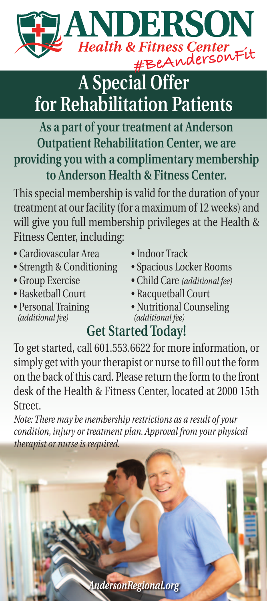

## **A Special Offer for Rehabilitation Patients**

## **As a part of your treatment at Anderson Outpatient Rehabilitation Center, we are providing you with a complimentary membership to Anderson Health & Fitness Center.**

This special membership is valid for the duration of your treatment at our facility (for a maximum of 12 weeks) and will give you full membership privileges at the Health & Fitness Center, including:

- Cardiovascular Area Indoor Track
- Strength & Conditioning Spacious Locker Rooms
- 
- 
- 
- 
- 
- Group Exercise Child Care *(additional fee)*
- Basketball Court Racquetball Court
- Personal Training Nutritional Counseling *(additional fee) (additional fee) (additional fee)*

## **Get Started Today!**

To get started, call 601.553.6622 for more information, or simply get with your therapist or nurse to fill out the form on the back of this card. Please return the form to the front desk of the Health & Fitness Center, located at 2000 15th Street.

*Note: There may be membership restrictions as a result of your condition, injury or treatment plan. Approval from your physical therapist or nurse is required.*